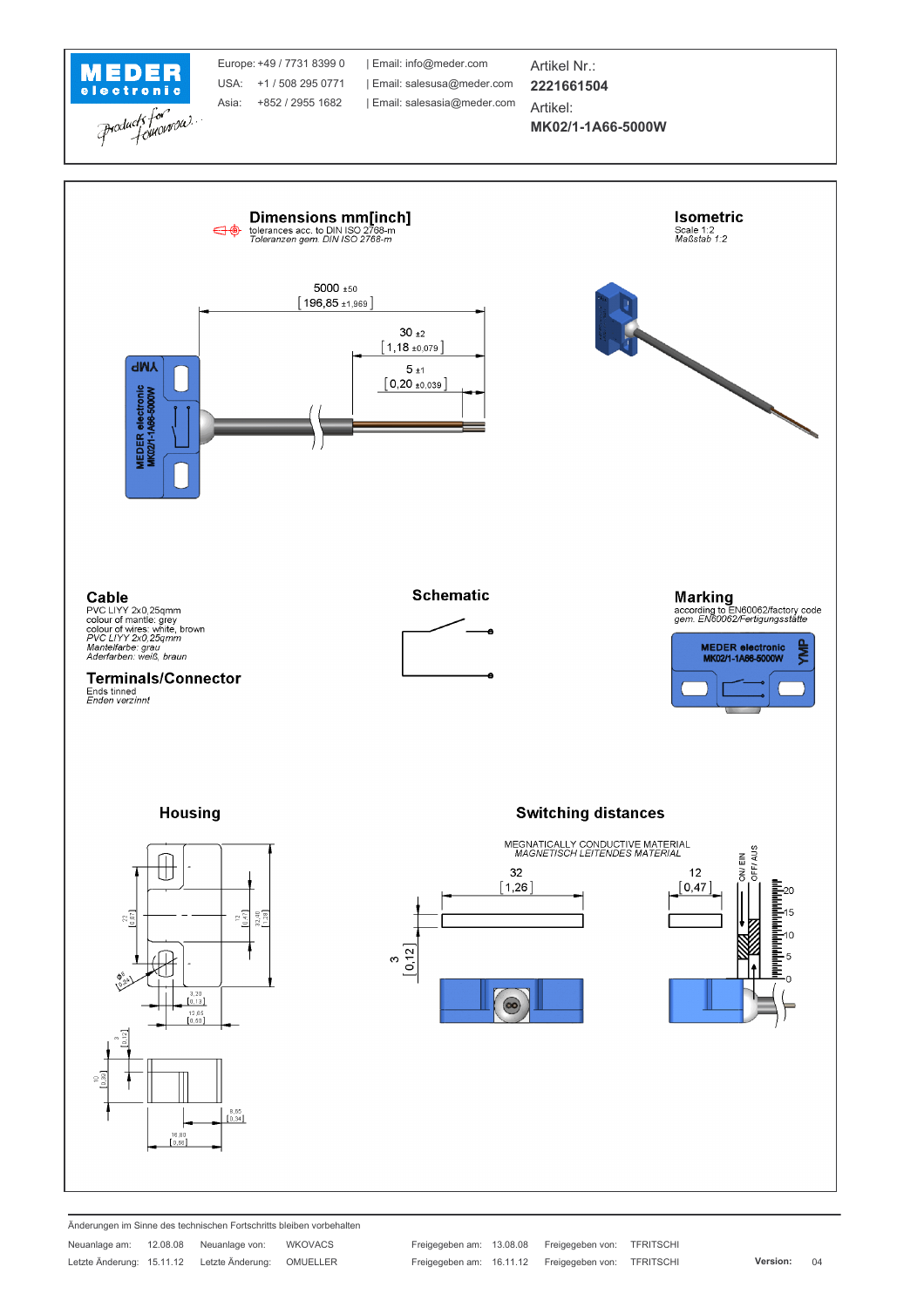

Änderungen im Sinne des technischen Fortschritts bleiben vorbehalten Neuanlage am: 12.08.08 Neuanlage von: **WKOVACS** Letzte Änderung: 15.11.12 Letzte Änderung: OMUELLER

Freigegeben am: 13.08.08 Freigegeben von: TFRITSCHI Freigegeben am: 16.11.12 Freigegeben von: TFRITSCHI

Version:  $04$